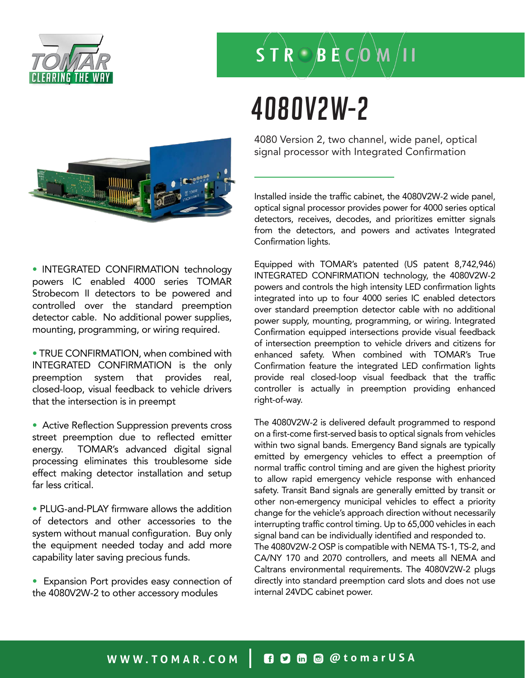

# $S T R O B E C O M$

### 4080V2W-2



4080 Version 2, two channel, wide panel, optical signal processor with Integrated Confirmation

Installed inside the traffic cabinet, the 4080V2W-2 wide panel, optical signal processor provides power for 4000 series optical detectors, receives, decodes, and prioritizes emitter signals from the detectors, and powers and activates Integrated Confirmation lights.

• INTEGRATED CONFIRMATION technology powers IC enabled 4000 series TOMAR Strobecom II detectors to be powered and controlled over the standard preemption detector cable. No additional power supplies, mounting, programming, or wiring required.

• TRUE CONFIRMATION, when combined with INTEGRATED CONFIRMATION is the only preemption system that provides real, closed-loop, visual feedback to vehicle drivers that the intersection is in preempt

• Active Reflection Suppression prevents cross street preemption due to reflected emitter energy. TOMAR's advanced digital signal processing eliminates this troublesome side effect making detector installation and setup far less critical.

• PLUG-and-PLAY firmware allows the addition of detectors and other accessories to the system without manual configuration. Buy only the equipment needed today and add more capability later saving precious funds.

• Expansion Port provides easy connection of the 4080V2W-2 to other accessory modules

Equipped with TOMAR's patented (US patent 8,742,946) INTEGRATED CONFIRMATION technology, the 4080V2W-2 powers and controls the high intensity LED confirmation lights integrated into up to four 4000 series IC enabled detectors over standard preemption detector cable with no additional power supply, mounting, programming, or wiring. Integrated Confirmation equipped intersections provide visual feedback of intersection preemption to vehicle drivers and citizens for enhanced safety. When combined with TOMAR's True Confirmation feature the integrated LED confirmation lights provide real closed-loop visual feedback that the traffic controller is actually in preemption providing enhanced right-of-way.

The 4080V2W-2 is delivered default programmed to respond on a first-come first-served basis to optical signals from vehicles within two signal bands. Emergency Band signals are typically emitted by emergency vehicles to effect a preemption of normal traffic control timing and are given the highest priority to allow rapid emergency vehicle response with enhanced safety. Transit Band signals are generally emitted by transit or other non-emergency municipal vehicles to effect a priority change for the vehicle's approach direction without necessarily interrupting traffic control timing. Up to 65,000 vehicles in each signal band can be individually identified and responded to. The 4080V2W-2 OSP is compatible with NEMA TS-1, TS-2, and CA/NY 170 and 2070 controllers, and meets all NEMA and Caltrans environmental requirements. The 4080V2W-2 plugs directly into standard preemption card slots and does not use internal 24VDC cabinet power.